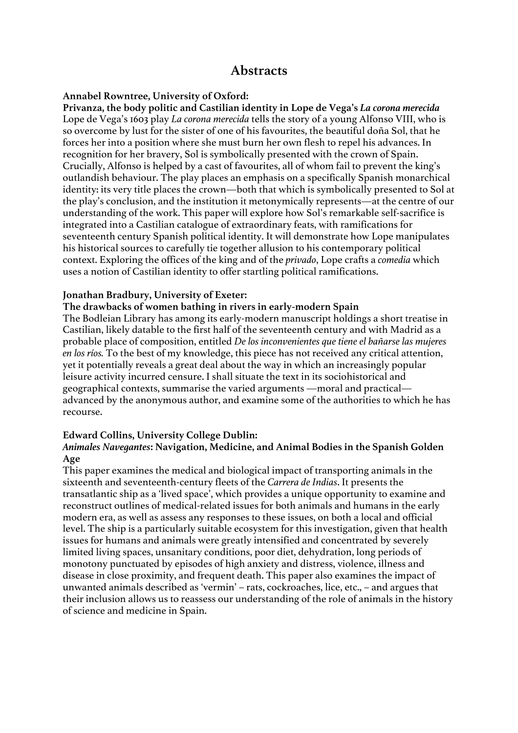# **Abstracts**

### **Annabel Rowntree, University of Oxford:**

**Privanza, the body politic and Castilian identity in Lope de Vega's** *La corona merecida* Lope de Vega's 1603 play *La corona merecida* tells the story of a young Alfonso VIII, who is so overcome by lust for the sister of one of his favourites, the beautiful doña Sol, that he forces her into a position where she must burn her own flesh to repel his advances. In recognition for her bravery, Sol is symbolically presented with the crown of Spain. Crucially, Alfonso is helped by a cast of favourites, all of whom fail to prevent the king's outlandish behaviour. The play places an emphasis on a specifically Spanish monarchical identity: its very title places the crown—both that which is symbolically presented to Sol at the play's conclusion, and the institution it metonymically represents—at the centre of our understanding of the work. This paper will explore how Sol's remarkable self-sacrifice is integrated into a Castilian catalogue of extraordinary feats, with ramifications for seventeenth century Spanish political identity. It will demonstrate how Lope manipulates his historical sources to carefully tie together allusion to his contemporary political context. Exploring the offices of the king and of the *privado*, Lope crafts a *comedia* which uses a notion of Castilian identity to offer startling political ramifications.

### **Jonathan Bradbury, University of Exeter:**

#### **The drawbacks of women bathing in rivers in early-modern Spain**

The Bodleian Library has among its early-modern manuscript holdings a short treatise in Castilian, likely datable to the first half of the seventeenth century and with Madrid as a probable place of composition, entitled *De los inconvenientes que tiene el bañarse las mujeres en los ríos.* To the best of my knowledge, this piece has not received any critical attention, yet it potentially reveals a great deal about the way in which an increasingly popular leisure activity incurred censure. I shall situate the text in its sociohistorical and geographical contexts, summarise the varied arguments —moral and practical advanced by the anonymous author, and examine some of the authorities to which he has recourse.

### **Edward Collins, University College Dublin:**

### *Animales Navegantes***: Navigation, Medicine, and Animal Bodies in the Spanish Golden Age**

This paper examines the medical and biological impact of transporting animals in the sixteenth and seventeenth-century fleets of the *Carrera de Indias*. It presents the transatlantic ship as a 'lived space', which provides a unique opportunity to examine and reconstruct outlines of medical-related issues for both animals and humans in the early modern era, as well as assess any responses to these issues, on both a local and official level. The ship is a particularly suitable ecosystem for this investigation, given that health issues for humans and animals were greatly intensified and concentrated by severely limited living spaces, unsanitary conditions, poor diet, dehydration, long periods of monotony punctuated by episodes of high anxiety and distress, violence, illness and disease in close proximity, and frequent death. This paper also examines the impact of unwanted animals described as 'vermin' – rats, cockroaches, lice, etc., – and argues that their inclusion allows us to reassess our understanding of the role of animals in the history of science and medicine in Spain.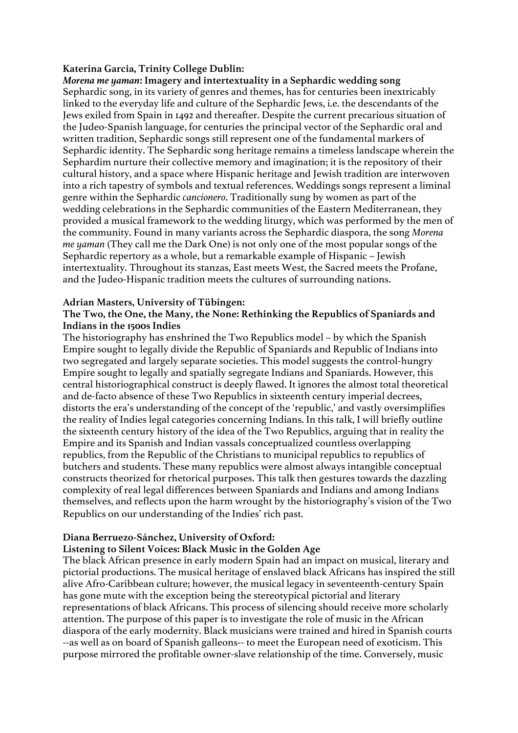### **Katerina Garcia, Trinity College Dublin:**

*Morena me yaman***: Imagery and intertextuality in a Sephardic wedding song** Sephardic song, in its variety of genres and themes, has for centuries been inextricably linked to the everyday life and culture of the Sephardic Jews, i.e. the descendants of the Jews exiled from Spain in 1492 and thereafter. Despite the current precarious situation of the Judeo-Spanish language, for centuries the principal vector of the Sephardic oral and written tradition, Sephardic songs still represent one of the fundamental markers of Sephardic identity. The Sephardic song heritage remains a timeless landscape wherein the Sephardim nurture their collective memory and imagination; it is the repository of their cultural history, and a space where Hispanic heritage and Jewish tradition are interwoven into a rich tapestry of symbols and textual references. Weddings songs represent a liminal genre within the Sephardic *cancionero*. Traditionally sung by women as part of the wedding celebrations in the Sephardic communities of the Eastern Mediterranean, they provided a musical framework to the wedding liturgy, which was performed by the men of the community. Found in many variants across the Sephardic diaspora, the song *Morena me yaman* (They call me the Dark One) is not only one of the most popular songs of the Sephardic repertory as a whole, but a remarkable example of Hispanic – Jewish intertextuality. Throughout its stanzas, East meets West, the Sacred meets the Profane, and the Judeo-Hispanic tradition meets the cultures of surrounding nations.

### **Adrian Masters, University of Tübingen:**

### **The Two, the One, the Many, the None: Rethinking the Republics of Spaniards and Indians in the 1500s Indies**

The historiography has enshrined the Two Republics model – by which the Spanish Empire sought to legally divide the Republic of Spaniards and Republic of Indians into two segregated and largely separate societies. This model suggests the control-hungry Empire sought to legally and spatially segregate Indians and Spaniards. However, this central historiographical construct is deeply flawed. It ignores the almost total theoretical and de-facto absence of these Two Republics in sixteenth century imperial decrees, distorts the era's understanding of the concept of the 'republic,' and vastly oversimplifies the reality of Indies legal categories concerning Indians. In this talk, I will briefly outline the sixteenth century history of the idea of the Two Republics, arguing that in reality the Empire and its Spanish and Indian vassals conceptualized countless overlapping republics, from the Republic of the Christians to municipal republics to republics of butchers and students. These many republics were almost always intangible conceptual constructs theorized for rhetorical purposes. This talk then gestures towards the dazzling complexity of real legal differences between Spaniards and Indians and among Indians themselves, and reflects upon the harm wrought by the historiography's vision of the Two Republics on our understanding of the Indies' rich past.

### **Diana Berruezo-Sánchez, University of Oxford:**

### **Listening to Silent Voices: Black Music in the Golden Age**

The black African presence in early modern Spain had an impact on musical, literary and pictorial productions. The musical heritage of enslaved black Africans has inspired the still alive Afro-Caribbean culture; however, the musical legacy in seventeenth-century Spain has gone mute with the exception being the stereotypical pictorial and literary representations of black Africans. This process of silencing should receive more scholarly attention. The purpose of this paper is to investigate the role of music in the African diaspora of the early modernity. Black musicians were trained and hired in Spanish courts --as well as on board of Spanish galleons-- to meet the European need of exoticism. This purpose mirrored the profitable owner-slave relationship of the time. Conversely, music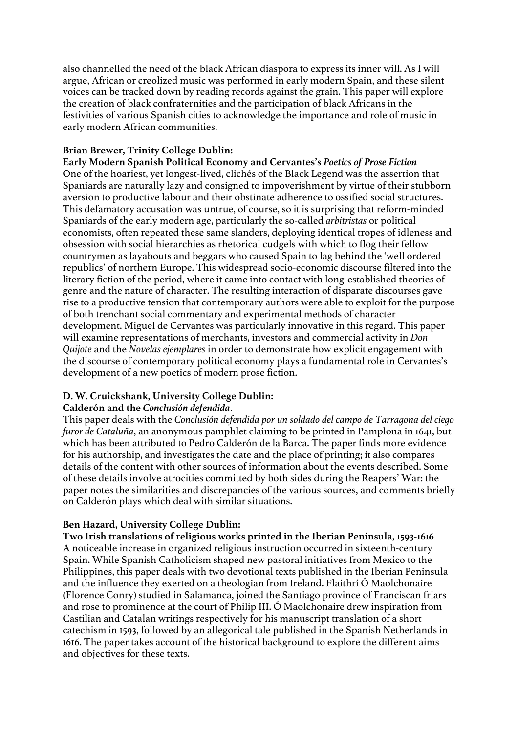also channelled the need of the black African diaspora to express its inner will. As I will argue, African or creolized music was performed in early modern Spain, and these silent voices can be tracked down by reading records against the grain. This paper will explore the creation of black confraternities and the participation of black Africans in the festivities of various Spanish cities to acknowledge the importance and role of music in early modern African communities.

### **Brian Brewer, Trinity College Dublin:**

**Early Modern Spanish Political Economy and Cervantes's** *Poetics of Prose Fiction* One of the hoariest, yet longest-lived, clichés of the Black Legend was the assertion that Spaniards are naturally lazy and consigned to impoverishment by virtue of their stubborn aversion to productive labour and their obstinate adherence to ossified social structures. This defamatory accusation was untrue, of course, so it is surprising that reform-minded Spaniards of the early modern age, particularly the so-called *arbitristas* or political economists, often repeated these same slanders, deploying identical tropes of idleness and obsession with social hierarchies as rhetorical cudgels with which to flog their fellow countrymen as layabouts and beggars who caused Spain to lag behind the 'well ordered republics' of northern Europe. This widespread socio-economic discourse filtered into the literary fiction of the period, where it came into contact with long-established theories of genre and the nature of character. The resulting interaction of disparate discourses gave rise to a productive tension that contemporary authors were able to exploit for the purpose of both trenchant social commentary and experimental methods of character development. Miguel de Cervantes was particularly innovative in this regard. This paper will examine representations of merchants, investors and commercial activity in *Don Quijote* and the *Novelas ejemplares* in order to demonstrate how explicit engagement with the discourse of contemporary political economy plays a fundamental role in Cervantes's development of a new poetics of modern prose fiction.

## **D. W. Cruickshank, University College Dublin:**

### **Calderón and the** *Conclusión defendida***.**

This paper deals with the *Conclusión defendida por un soldado del campo de Tarragona del ciego furor de Cataluña*, an anonymous pamphlet claiming to be printed in Pamplona in 1641, but which has been attributed to Pedro Calderón de la Barca. The paper finds more evidence for his authorship, and investigates the date and the place of printing; it also compares details of the content with other sources of information about the events described. Some of these details involve atrocities committed by both sides during the Reapers' War: the paper notes the similarities and discrepancies of the various sources, and comments briefly on Calderón plays which deal with similar situations.

### **Ben Hazard, University College Dublin:**

**Two Irish translations of religious works printed in the Iberian Peninsula, 1593-1616** A noticeable increase in organized religious instruction occurred in sixteenth-century Spain. While Spanish Catholicism shaped new pastoral initiatives from Mexico to the Philippines, this paper deals with two devotional texts published in the Iberian Peninsula and the influence they exerted on a theologian from Ireland. Flaithrí Ó Maolchonaire (Florence Conry) studied in Salamanca, joined the Santiago province of Franciscan friars and rose to prominence at the court of Philip III. Ó Maolchonaire drew inspiration from Castilian and Catalan writings respectively for his manuscript translation of a short catechism in 1593, followed by an allegorical tale published in the Spanish Netherlands in 1616. The paper takes account of the historical background to explore the different aims and objectives for these texts.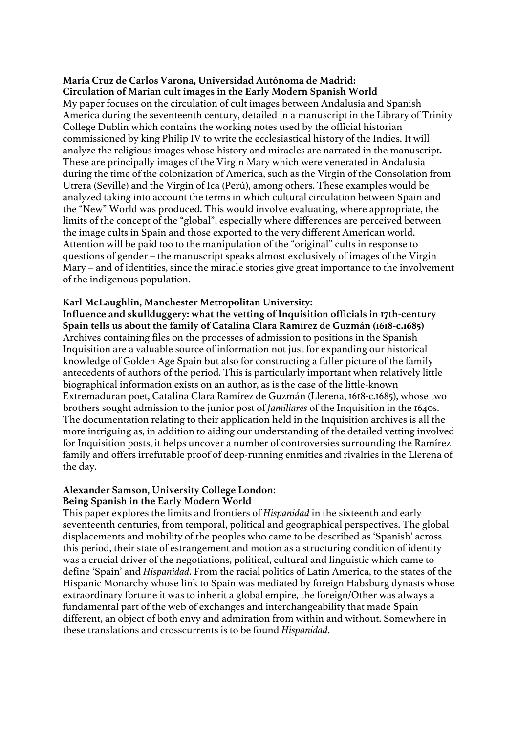#### **María Cruz de Carlos Varona, Universidad Autónoma de Madrid: Circulation of Marian cult images in the Early Modern Spanish World**

My paper focuses on the circulation of cult images between Andalusia and Spanish America during the seventeenth century, detailed in a manuscript in the Library of Trinity College Dublin which contains the working notes used by the official historian commissioned by king Philip IV to write the ecclesiastical history of the Indies. It will analyze the religious images whose history and miracles are narrated in the manuscript. These are principally images of the Virgin Mary which were venerated in Andalusia during the time of the colonization of America, such as the Virgin of the Consolation from Utrera (Seville) and the Virgin of Ica (Perú), among others. These examples would be analyzed taking into account the terms in which cultural circulation between Spain and the "New" World was produced. This would involve evaluating, where appropriate, the limits of the concept of the "global", especially where differences are perceived between the image cults in Spain and those exported to the very different American world. Attention will be paid too to the manipulation of the "original" cults in response to questions of gender – the manuscript speaks almost exclusively of images of the Virgin Mary – and of identities, since the miracle stories give great importance to the involvement of the indigenous population.

### **Karl McLaughlin, Manchester Metropolitan University:**

**Influence and skullduggery: what the vetting of Inquisition officials in 17th-century Spain tells us about the family of Catalina Clara Ramírez de Guzmán (1618-c.1685)** Archives containing files on the processes of admission to positions in the Spanish Inquisition are a valuable source of information not just for expanding our historical knowledge of Golden Age Spain but also for constructing a fuller picture of the family antecedents of authors of the period. This is particularly important when relatively little biographical information exists on an author, as is the case of the little-known Extremaduran poet, Catalina Clara Ramírez de Guzmán (Llerena, 1618-c.1685), whose two brothers sought admission to the junior post of *familiares* of the Inquisition in the 1640s. The documentation relating to their application held in the Inquisition archives is all the more intriguing as, in addition to aiding our understanding of the detailed vetting involved for Inquisition posts, it helps uncover a number of controversies surrounding the Ramírez family and offers irrefutable proof of deep-running enmities and rivalries in the Llerena of the day.

### **Alexander Samson, University College London:**

### **Being Spanish in the Early Modern World**

This paper explores the limits and frontiers of *Hispanidad* in the sixteenth and early seventeenth centuries, from temporal, political and geographical perspectives. The global displacements and mobility of the peoples who came to be described as 'Spanish' across this period, their state of estrangement and motion as a structuring condition of identity was a crucial driver of the negotiations, political, cultural and linguistic which came to define 'Spain' and *Hispanidad*. From the racial politics of Latin America, to the states of the Hispanic Monarchy whose link to Spain was mediated by foreign Habsburg dynasts whose extraordinary fortune it was to inherit a global empire, the foreign/Other was always a fundamental part of the web of exchanges and interchangeability that made Spain different, an object of both envy and admiration from within and without. Somewhere in these translations and crosscurrents is to be found *Hispanidad*.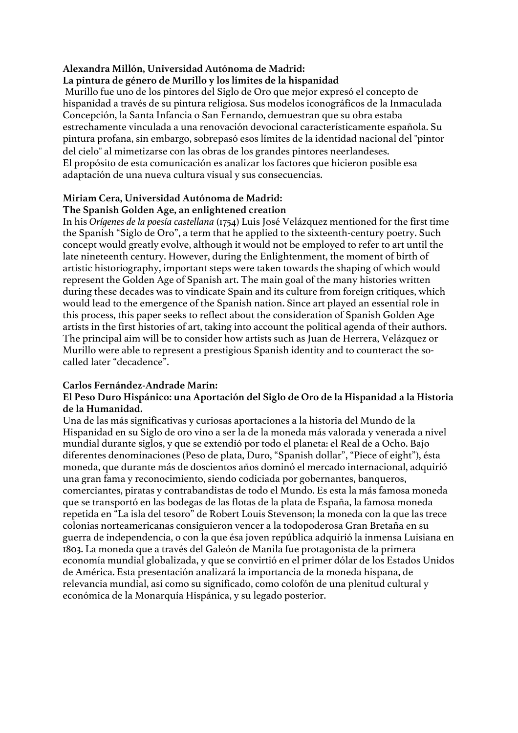### **Alexandra Millón, Universidad Autónoma de Madrid:**

### **La pintura de género de Murillo y los límites de la hispanidad**

Murillo fue uno de los pintores del Siglo de Oro que mejor expresó el concepto de hispanidad a través de su pintura religiosa. Sus modelos iconográficos de la Inmaculada Concepción, la Santa Infancia o San Fernando, demuestran que su obra estaba estrechamente vinculada a una renovación devocional característicamente española. Su pintura profana, sin embargo, sobrepasó esos límites de la identidad nacional del "pintor del cielo" al mimetizarse con las obras de los grandes pintores neerlandeses. El propósito de esta comunicación es analizar los factores que hicieron posible esa adaptación de una nueva cultura visual y sus consecuencias.

#### **Miriam Cera, Universidad Autónoma de Madrid: The Spanish Golden Age, an enlightened creation**

In his *Orígenes de la poesía castellana* (1754) Luis José Velázquez mentioned for the first time the Spanish "Siglo de Oro", a term that he applied to the sixteenth-century poetry. Such concept would greatly evolve, although it would not be employed to refer to art until the late nineteenth century. However, during the Enlightenment, the moment of birth of artistic historiography, important steps were taken towards the shaping of which would represent the Golden Age of Spanish art. The main goal of the many histories written during these decades was to vindicate Spain and its culture from foreign critiques, which would lead to the emergence of the Spanish nation. Since art played an essential role in this process, this paper seeks to reflect about the consideration of Spanish Golden Age artists in the first histories of art, taking into account the political agenda of their authors. The principal aim will be to consider how artists such as Juan de Herrera, Velázquez or Murillo were able to represent a prestigious Spanish identity and to counteract the socalled later "decadence".

### **Carlos Fernández-Andrade Marín:**

### **El Peso Duro Hispánico: una Aportación del Siglo de Oro de la Hispanidad a la Historia de la Humanidad.**

Una de las más significativas y curiosas aportaciones a la historia del Mundo de la Hispanidad en su Siglo de oro vino a ser la de la moneda más valorada y venerada a nivel mundial durante siglos, y que se extendió por todo el planeta: el Real de a Ocho. Bajo diferentes denominaciones (Peso de plata, Duro, "Spanish dollar", "Piece of eight"), ésta moneda, que durante más de doscientos años dominó el mercado internacional, adquirió una gran fama y reconocimiento, siendo codiciada por gobernantes, banqueros, comerciantes, piratas y contrabandistas de todo el Mundo. Es esta la más famosa moneda que se transportó en las bodegas de las flotas de la plata de España, la famosa moneda repetida en "La isla del tesoro" de Robert Louis Stevenson; la moneda con la que las trece colonias norteamericanas consiguieron vencer a la todopoderosa Gran Bretaña en su guerra de independencia, o con la que ésa joven república adquirió la inmensa Luisiana en 1803. La moneda que a través del Galeón de Manila fue protagonista de la primera economía mundial globalizada, y que se convirtió en el primer dólar de los Estados Unidos de América. Esta presentación analizará la importancia de la moneda hispana, de relevancia mundial, así como su significado, como colofón de una plenitud cultural y económica de la Monarquía Hispánica, y su legado posterior.